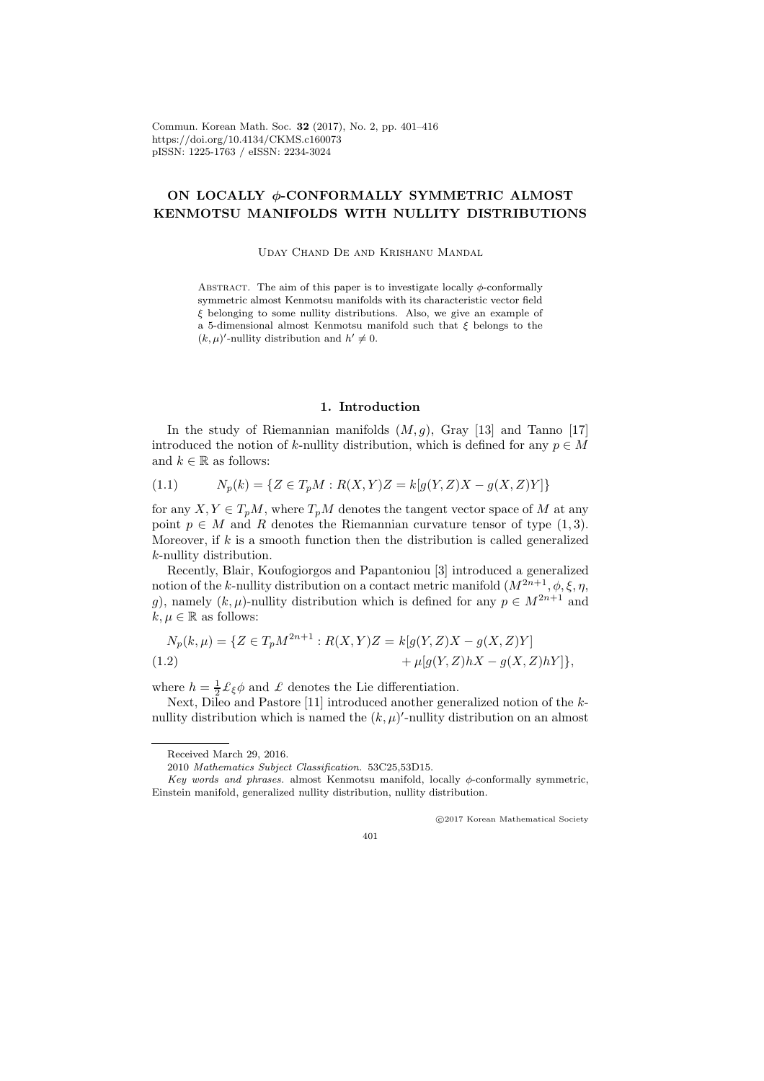Commun. Korean Math. Soc. 32 (2017), No. 2, pp. 401–416 https://doi.org/10.4134/CKMS.c160073 pISSN: 1225-1763 / eISSN: 2234-3024

# ON LOCALLY φ-CONFORMALLY SYMMETRIC ALMOST KENMOTSU MANIFOLDS WITH NULLITY DISTRIBUTIONS

Uday Chand De and Krishanu Mandal

ABSTRACT. The aim of this paper is to investigate locally  $\phi$ -conformally symmetric almost Kenmotsu manifolds with its characteristic vector field ξ belonging to some nullity distributions. Also, we give an example of a 5-dimensional almost Kenmotsu manifold such that  $\xi$  belongs to the  $(k, \mu)'$ -nullity distribution and  $h' \neq 0$ .

## 1. Introduction

In the study of Riemannian manifolds  $(M, g)$ , Gray [13] and Tanno [17] introduced the notion of k-nullity distribution, which is defined for any  $p \in M$ and  $k \in \mathbb{R}$  as follows:

$$
(1.1) \t N_p(k) = \{ Z \in T_p M : R(X, Y)Z = k[g(Y, Z)X - g(X, Z)Y] \}
$$

for any  $X, Y \in T_pM$ , where  $T_pM$  denotes the tangent vector space of M at any point  $p \in M$  and R denotes the Riemannian curvature tensor of type  $(1, 3)$ . Moreover, if  $k$  is a smooth function then the distribution is called generalized k-nullity distribution.

Recently, Blair, Koufogiorgos and Papantoniou [3] introduced a generalized notion of the k-nullity distribution on a contact metric manifold  $(M^{2n+1}, \phi, \xi, \eta,$ g), namely  $(k, \mu)$ -nullity distribution which is defined for any  $p \in M^{2n+1}$  and  $k, \mu \in \mathbb{R}$  as follows:

$$
N_p(k,\mu) = \{ Z \in T_p M^{2n+1} : R(X,Y)Z = k[g(Y,Z)X - g(X,Z)Y] + \mu[g(Y,Z)hX - g(X,Z)hY] \},
$$

where  $h = \frac{1}{2} \mathcal{L}_{\xi} \phi$  and  $\mathcal{L}$  denotes the Lie differentiation.

Next, Dileo and Pastore [11] introduced another generalized notion of the knullity distribution which is named the  $(k, \mu)'$ -nullity distribution on an almost

c 2017 Korean Mathematical Society

401

Received March 29, 2016.

<sup>2010</sup> Mathematics Subject Classification. 53C25,53D15.

Key words and phrases. almost Kenmotsu manifold, locally  $\phi$ -conformally symmetric, Einstein manifold, generalized nullity distribution, nullity distribution.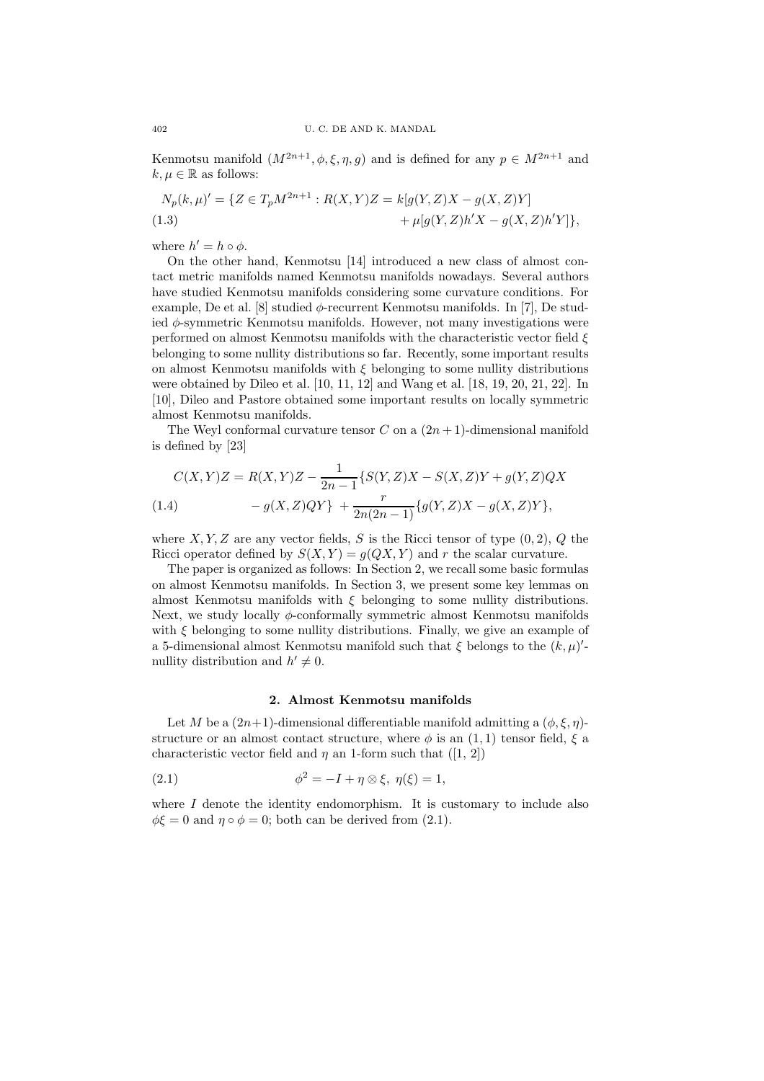Kenmotsu manifold  $(M^{2n+1}, \phi, \xi, \eta, g)$  and is defined for any  $p \in M^{2n+1}$  and  $k, \mu \in \mathbb{R}$  as follows:

$$
N_p(k,\mu)' = \{ Z \in T_p M^{2n+1} : R(X,Y)Z = k[g(Y,Z)X - g(X,Z)Y] + \mu[g(Y,Z)h'X - g(X,Z)h'Y] \},
$$

where  $h' = h \circ \phi$ .

On the other hand, Kenmotsu [14] introduced a new class of almost contact metric manifolds named Kenmotsu manifolds nowadays. Several authors have studied Kenmotsu manifolds considering some curvature conditions. For example, De et al. [8] studied  $\phi$ -recurrent Kenmotsu manifolds. In [7], De studied  $\phi$ -symmetric Kenmotsu manifolds. However, not many investigations were performed on almost Kenmotsu manifolds with the characteristic vector field  $\xi$ belonging to some nullity distributions so far. Recently, some important results on almost Kenmotsu manifolds with  $\xi$  belonging to some nullity distributions were obtained by Dileo et al. [10, 11, 12] and Wang et al. [18, 19, 20, 21, 22]. In [10], Dileo and Pastore obtained some important results on locally symmetric almost Kenmotsu manifolds.

The Weyl conformal curvature tensor C on a  $(2n+1)$ -dimensional manifold is defined by [23]

$$
C(X,Y)Z = R(X,Y)Z - \frac{1}{2n-1} \{ S(Y,Z)X - S(X,Z)Y + g(Y,Z)QX - g(X,Z)QY \} + \frac{r}{2n(2n-1)} \{ g(Y,Z)X - g(X,Z)Y \},
$$

where  $X, Y, Z$  are any vector fields, S is the Ricci tensor of type  $(0, 2), Q$  the Ricci operator defined by  $S(X, Y) = g(QX, Y)$  and r the scalar curvature.

The paper is organized as follows: In Section 2, we recall some basic formulas on almost Kenmotsu manifolds. In Section 3, we present some key lemmas on almost Kenmotsu manifolds with  $\xi$  belonging to some nullity distributions. Next, we study locally  $\phi$ -conformally symmetric almost Kenmotsu manifolds with  $\xi$  belonging to some nullity distributions. Finally, we give an example of a 5-dimensional almost Kenmotsu manifold such that  $\xi$  belongs to the  $(k, \mu)'$ nullity distribution and  $h' \neq 0$ .

## 2. Almost Kenmotsu manifolds

Let M be a  $(2n+1)$ -dimensional differentiable manifold admitting a  $(\phi, \xi, \eta)$ structure or an almost contact structure, where  $\phi$  is an  $(1, 1)$  tensor field,  $\xi$  a characteristic vector field and  $\eta$  an 1-form such that ([1, 2])

(2.1) 
$$
\phi^2 = -I + \eta \otimes \xi, \ \eta(\xi) = 1,
$$

where  $I$  denote the identity endomorphism. It is customary to include also  $\phi \xi = 0$  and  $\eta \circ \phi = 0$ ; both can be derived from (2.1).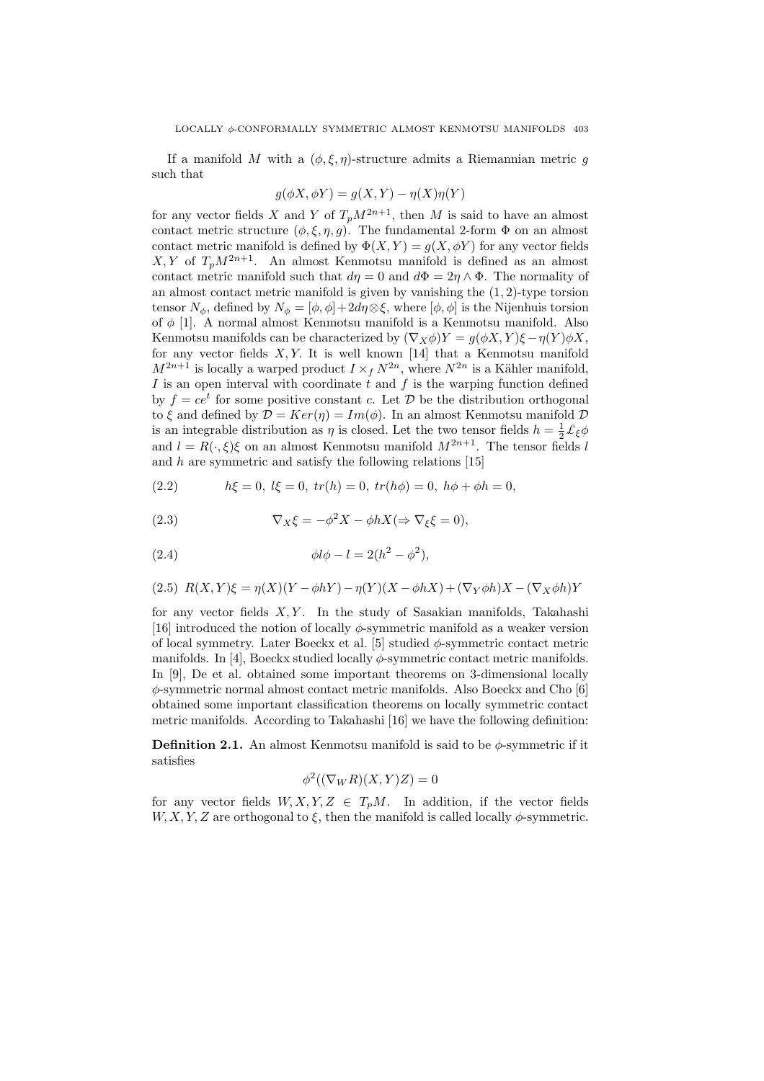If a manifold  $M$  with a  $(\phi, \xi, \eta)$ -structure admits a Riemannian metric  $g$ such that

$$
g(\phi X, \phi Y) = g(X, Y) - \eta(X)\eta(Y)
$$

for any vector fields X and Y of  $T_p M^{2n+1}$ , then M is said to have an almost contact metric structure  $(\phi, \xi, \eta, g)$ . The fundamental 2-form  $\Phi$  on an almost contact metric manifold is defined by  $\Phi(X, Y) = g(X, \phi Y)$  for any vector fields  $X, Y$  of  $T_n M^{2n+1}$ . An almost Kenmotsu manifold is defined as an almost contact metric manifold such that  $d\eta = 0$  and  $d\Phi = 2\eta \wedge \Phi$ . The normality of an almost contact metric manifold is given by vanishing the (1, 2)-type torsion tensor  $N_{\phi}$ , defined by  $N_{\phi} = [\phi, \phi] + 2d\eta \otimes \xi$ , where  $[\phi, \phi]$  is the Nijenhuis torsion of  $\phi$  [1]. A normal almost Kenmotsu manifold is a Kenmotsu manifold. Also Kenmotsu manifolds can be characterized by  $(\nabla_X \phi)Y = g(\phi X, Y)\xi - \eta(Y)\phi X$ , for any vector fields  $X, Y$ . It is well known [14] that a Kenmotsu manifold  $M^{2n+1}$  is locally a warped product  $I \times_f N^{2n}$ , where  $N^{2n}$  is a Kähler manifold, I is an open interval with coordinate  $\dot{t}$  and  $f$  is the warping function defined by  $f = ce^t$  for some positive constant c. Let  $\mathcal D$  be the distribution orthogonal to  $\xi$  and defined by  $\mathcal{D} = Ker(\eta) = Im(\phi)$ . In an almost Kenmotsu manifold  $\mathcal D$ is an integrable distribution as  $\eta$  is closed. Let the two tensor fields  $h = \frac{1}{2} \mathcal{L}_{\xi} \phi$ and  $l = R(\cdot, \xi)\xi$  on an almost Kenmotsu manifold  $M^{2n+1}$ . The tensor fields l and  $h$  are symmetric and satisfy the following relations [15]

(2.2) 
$$
h\xi = 0, l\xi = 0, tr(h) = 0, tr(h\phi) = 0, h\phi + \phi h = 0,
$$

(2.3) 
$$
\nabla_X \xi = -\phi^2 X - \phi h X (\Rightarrow \nabla_\xi \xi = 0),
$$

(2.4) 
$$
\phi l \phi - l = 2(h^2 - \phi^2),
$$

$$
(2.5) R(X,Y)\xi = \eta(X)(Y - \phi hY) - \eta(Y)(X - \phi hX) + (\nabla_Y \phi h)X - (\nabla_X \phi h)Y
$$

for any vector fields  $X, Y$ . In the study of Sasakian manifolds, Takahashi [16] introduced the notion of locally  $\phi$ -symmetric manifold as a weaker version of local symmetry. Later Boeckx et al. [5] studied  $\phi$ -symmetric contact metric manifolds. In [4], Boeckx studied locally  $\phi$ -symmetric contact metric manifolds. In [9], De et al. obtained some important theorems on 3-dimensional locally  $\phi$ -symmetric normal almost contact metric manifolds. Also Boeckx and Cho [6] obtained some important classification theorems on locally symmetric contact metric manifolds. According to Takahashi [16] we have the following definition:

**Definition 2.1.** An almost Kenmotsu manifold is said to be  $\phi$ -symmetric if it satisfies

$$
\phi^2((\nabla_W R)(X,Y)Z) = 0
$$

for any vector fields  $W, X, Y, Z \in T_pM$ . In addition, if the vector fields  $W, X, Y, Z$  are orthogonal to  $\xi$ , then the manifold is called locally  $\phi$ -symmetric.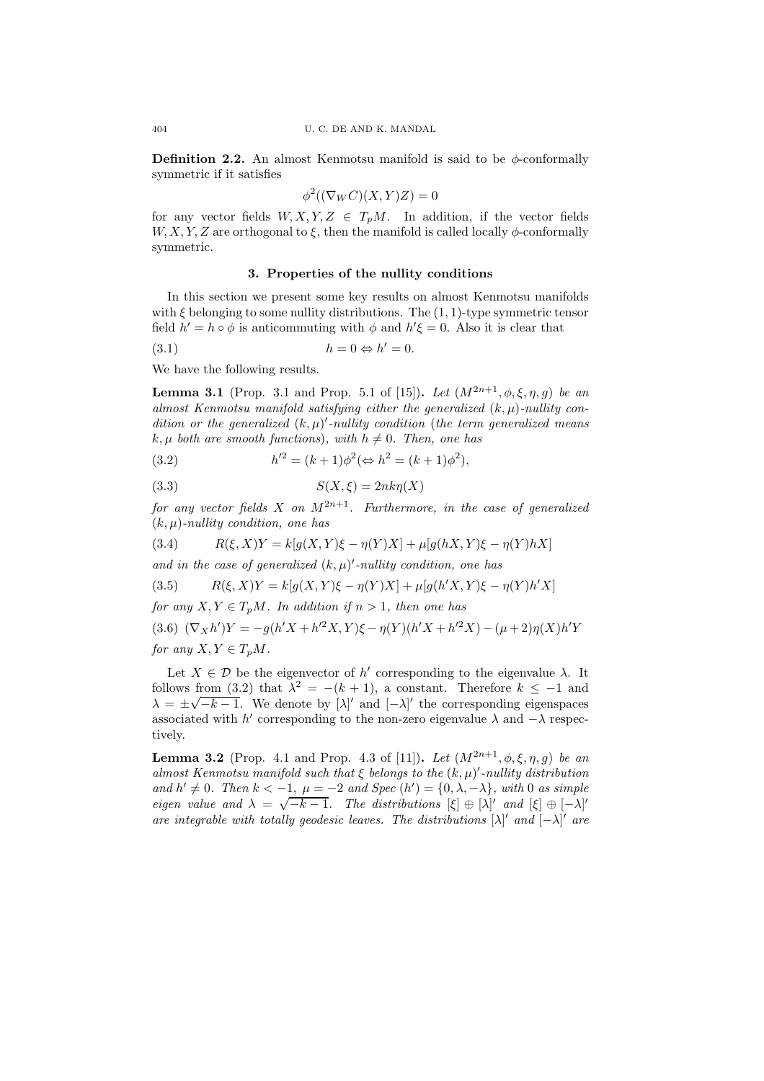**Definition 2.2.** An almost Kenmotsu manifold is said to be  $\phi$ -conformally symmetric if it satisfies

$$
\phi^2((\nabla_W C)(X,Y)Z) = 0
$$

for any vector fields  $W, X, Y, Z \in T_pM$ . In addition, if the vector fields  $W, X, Y, Z$  are orthogonal to  $\xi$ , then the manifold is called locally  $\phi$ -conformally symmetric.

## 3. Properties of the nullity conditions

In this section we present some key results on almost Kenmotsu manifolds with  $\xi$  belonging to some nullity distributions. The  $(1, 1)$ -type symmetric tensor field  $h' = h \circ \phi$  is anticommuting with  $\phi$  and  $h' \xi = 0$ . Also it is clear that

$$
(3.1) \t\t\t h = 0 \Leftrightarrow h' = 0.
$$

We have the following results.

**Lemma 3.1** (Prop. 3.1 and Prop. 5.1 of [15]). Let  $(M^{2n+1}, \phi, \xi, \eta, q)$  be an almost Kenmotsu manifold satisfying either the generalized  $(k, \mu)$ -nullity condition or the generalized  $(k, \mu)'$ -nullity condition (the term generalized means  $k, \mu$  both are smooth functions), with  $h \neq 0$ . Then, one has

(3.2) 
$$
h'^2 = (k+1)\phi^2 (\Leftrightarrow h^2 = (k+1)\phi^2),
$$

$$
(3.3) \tS(X,\xi) = 2nk\eta(X)
$$

for any vector fields X on  $M^{2n+1}$ . Furthermore, in the case of generalized  $(k, \mu)$ -nullity condition, one has

(3.4) 
$$
R(\xi, X)Y = k[g(X, Y)\xi - \eta(Y)X] + \mu[g(hX, Y)\xi - \eta(Y)hX]
$$

and in the case of generalized  $(k, \mu)'$ -nullity condition, one has

(3.5) 
$$
R(\xi, X)Y = k[g(X, Y)\xi - \eta(Y)X] + \mu[g(h'X, Y)\xi - \eta(Y)h'X]
$$

for any  $X, Y \in T_pM$ . In addition if  $n > 1$ , then one has

(3.6)  $(\nabla_X h')Y = -g(h'X + h'^2X, Y)\xi - \eta(Y)(h'X + h'^2X) - (\mu + 2)\eta(X)h'Y$ for any  $X, Y \in T_nM$ .

Let  $X \in \mathcal{D}$  be the eigenvector of h' corresponding to the eigenvalue  $\lambda$ . It follows from (3.2) that  $\lambda^2 = -(k+1)$ , a constant. Therefore  $k \le -1$  and  $\lambda = \pm \sqrt{-k-1}$ . We denote by  $[\lambda]'$  and  $[-\lambda]'$  the corresponding eigenspaces associated with h' corresponding to the non-zero eigenvalue  $\lambda$  and  $-\lambda$  respectively.

**Lemma 3.2** (Prop. 4.1 and Prop. 4.3 of [11]). Let  $(M^{2n+1}, \phi, \xi, \eta, g)$  be an almost Kenmotsu manifold such that  $\xi$  belongs to the  $(k, \mu)'$ -nullity distribution and  $h' \neq 0$ . Then  $k < -1$ ,  $\mu = -2$  and Spec  $(h') = \{0, \lambda, -\lambda\}$ , with 0 as simple eigen value and  $\lambda = \sqrt{-k-1}$ . The distributions  $[\xi] \oplus [\lambda]'$  and  $[\xi] \oplus [-\lambda]'$ are integrable with totally geodesic leaves. The distributions  $[\lambda]'$  and  $[-\lambda]'$  are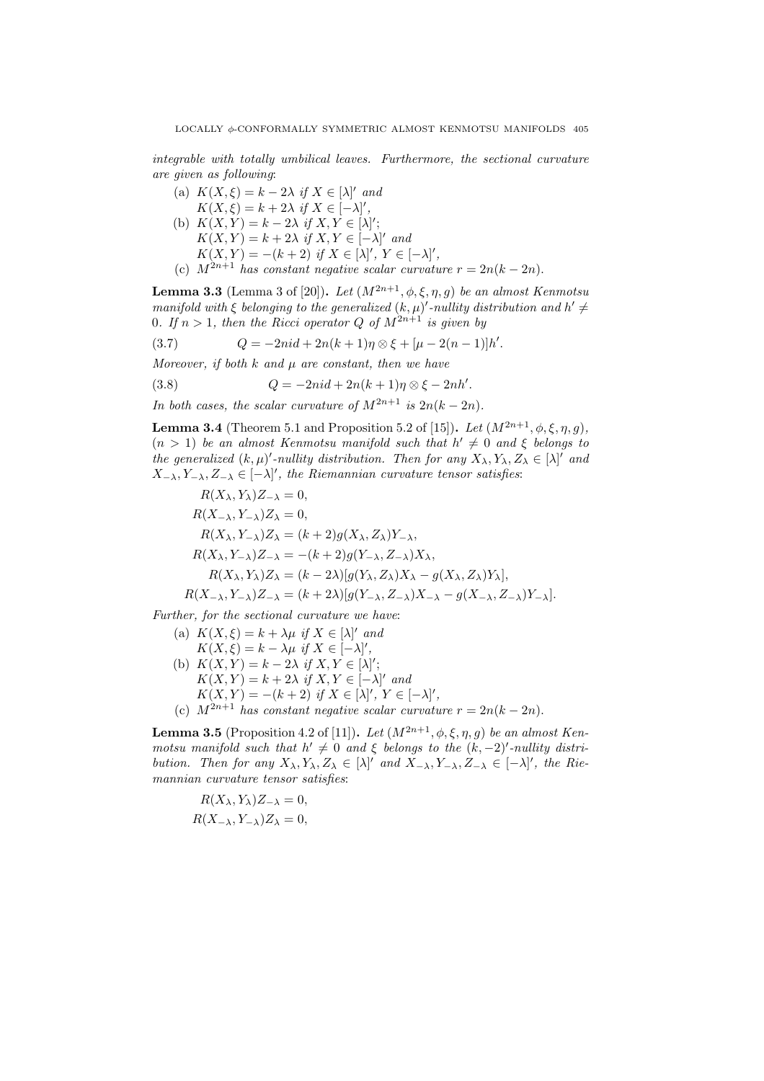integrable with totally umbilical leaves. Furthermore, the sectional curvature are given as following:

(a)  $K(X, \xi) = k - 2\lambda$  if  $X \in [\lambda]'$  and  $K(X, \xi) = k + 2\lambda \text{ if } X \in [-\lambda]'$ , (b)  $K(X,Y) = k - 2\lambda$  if  $X, Y \in [\lambda]';$  $K(X,Y) = k + 2\lambda \text{ if } X,Y \in [-\lambda]' \text{ and}$  $K(X,Y) = -(k+2)$  if  $X \in [\lambda]'$ ,  $Y \in [-\lambda]'$ , (c)  $M^{2n+1}$  has constant negative scalar curvature  $r = 2n(k - 2n)$ .

**Lemma 3.3** (Lemma 3 of [20]). Let  $(M^{2n+1}, \phi, \xi, \eta, q)$  be an almost Kenmotsu manifold with  $\xi$  belonging to the generalized  $(k, \mu)'$ -nullity distribution and  $h' \neq$ 0. If  $n > 1$ , then the Ricci operator Q of  $M^{2n+1}$  is given by

(3.7) 
$$
Q = -2ni d + 2n(k+1)\eta \otimes \xi + [\mu - 2(n-1)]h'.
$$

Moreover, if both  $k$  and  $\mu$  are constant, then we have

(3.8) 
$$
Q = -2ni d + 2n(k+1)\eta \otimes \xi - 2nh'.
$$

In both cases, the scalar curvature of  $M^{2n+1}$  is  $2n(k-2n)$ .

**Lemma 3.4** (Theorem 5.1 and Proposition 5.2 of [15]). Let  $(M^{2n+1}, \phi, \xi, \eta, g)$ ,  $(n > 1)$  be an almost Kenmotsu manifold such that  $h' \neq 0$  and  $\xi$  belongs to the generalized  $(k,\mu)'$ -nullity distribution. Then for any  $X_\lambda, Y_\lambda, Z_\lambda \in [\lambda]'$  and  $X_{-\lambda}, Y_{-\lambda}, Z_{-\lambda} \in [-\lambda]'$ , the Riemannian curvature tensor satisfies:

$$
R(X_{\lambda}, Y_{\lambda})Z_{-\lambda} = 0,
$$
  
\n
$$
R(X_{-\lambda}, Y_{-\lambda})Z_{\lambda} = 0,
$$
  
\n
$$
R(X_{\lambda}, Y_{-\lambda})Z_{\lambda} = (k+2)g(X_{\lambda}, Z_{\lambda})Y_{-\lambda},
$$
  
\n
$$
R(X_{\lambda}, Y_{-\lambda})Z_{-\lambda} = -(k+2)g(Y_{-\lambda}, Z_{-\lambda})X_{\lambda},
$$
  
\n
$$
R(X_{\lambda}, Y_{\lambda})Z_{\lambda} = (k-2\lambda)[g(Y_{\lambda}, Z_{\lambda})X_{\lambda} - g(X_{\lambda}, Z_{\lambda})Y_{\lambda}],
$$
  
\n
$$
R(X_{-\lambda}, Y_{-\lambda})Z_{-\lambda} = (k+2\lambda)[g(Y_{-\lambda}, Z_{-\lambda})X_{-\lambda} - g(X_{-\lambda}, Z_{-\lambda})Y_{-\lambda}].
$$

Further, for the sectional curvature we have:

(a)  $K(X, \xi) = k + \lambda \mu$  if  $X \in [\lambda]'$  and  $K(X,\xi) = k - \lambda \mu \text{ if } X \in [-\lambda]'$ , (b)  $K(X,Y) = k - 2\lambda$  if  $X, Y \in [\lambda]';$  $K(X,Y) = k + 2\lambda \text{ if } X,Y \in [-\lambda]' \text{ and}$  $K(X,Y) = -(k+2)$  if  $X \in [\lambda]'$ ,  $Y \in [-\lambda]'$ , (c)  $M^{2n+1}$  has constant negative scalar curvature  $r = 2n(k-2n)$ .

**Lemma 3.5** (Proposition 4.2 of [11]). Let  $(M^{2n+1}, \phi, \xi, \eta, g)$  be an almost Kenmotsu manifold such that  $h' \neq 0$  and  $\xi$  belongs to the  $(k, -2)'$ -nullity distribution. Then for any  $X_{\lambda}, Y_{\lambda}, Z_{\lambda} \in [\lambda]'$  and  $X_{-\lambda}, Y_{-\lambda}, Z_{-\lambda} \in [-\lambda]'$ , the Riemannian curvature tensor satisfies:

$$
R(X_{\lambda}, Y_{\lambda})Z_{-\lambda} = 0,
$$
  

$$
R(X_{-\lambda}, Y_{-\lambda})Z_{\lambda} = 0,
$$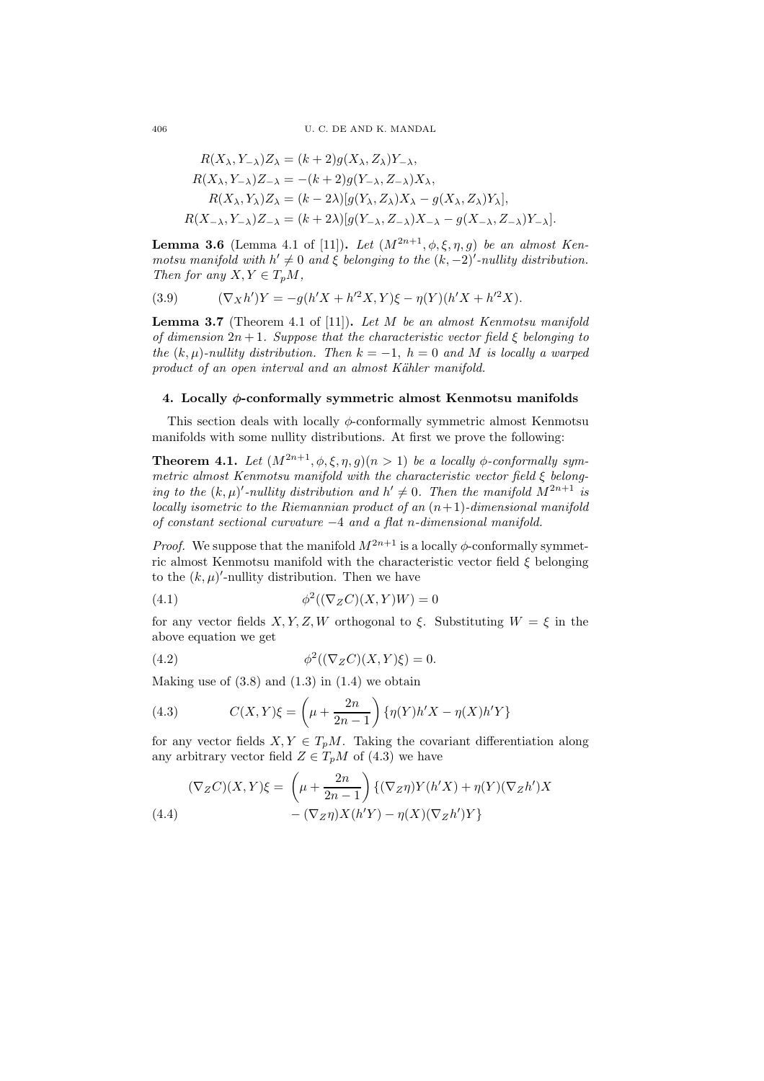$$
R(X_{\lambda}, Y_{-\lambda})Z_{\lambda} = (k+2)g(X_{\lambda}, Z_{\lambda})Y_{-\lambda},
$$
  
\n
$$
R(X_{\lambda}, Y_{-\lambda})Z_{-\lambda} = -(k+2)g(Y_{-\lambda}, Z_{-\lambda})X_{\lambda},
$$
  
\n
$$
R(X_{\lambda}, Y_{\lambda})Z_{\lambda} = (k-2\lambda)[g(Y_{\lambda}, Z_{\lambda})X_{\lambda} - g(X_{\lambda}, Z_{\lambda})Y_{\lambda}],
$$
  
\n
$$
R(X_{-\lambda}, Y_{-\lambda})Z_{-\lambda} = (k+2\lambda)[g(Y_{-\lambda}, Z_{-\lambda})X_{-\lambda} - g(X_{-\lambda}, Z_{-\lambda})Y_{-\lambda}].
$$

**Lemma 3.6** (Lemma 4.1 of [11]). Let  $(M^{2n+1}, \phi, \xi, \eta, g)$  be an almost Kenmotsu manifold with  $h' \neq 0$  and  $\xi$  belonging to the  $(k, -2)'$ -nullity distribution. Then for any  $X, Y \in T_nM$ ,

(3.9) 
$$
(\nabla_X h')Y = -g(h'X + h'^2X, Y)\xi - \eta(Y)(h'X + h'^2X).
$$

**Lemma 3.7** (Theorem 4.1 of [11]). Let  $M$  be an almost Kenmotsu manifold of dimension  $2n + 1$ . Suppose that the characteristic vector field  $\xi$  belonging to the  $(k, \mu)$ -nullity distribution. Then  $k = -1$ ,  $h = 0$  and M is locally a warped product of an open interval and an almost Kähler manifold.

## 4. Locally φ-conformally symmetric almost Kenmotsu manifolds

This section deals with locally  $\phi$ -conformally symmetric almost Kenmotsu manifolds with some nullity distributions. At first we prove the following:

**Theorem 4.1.** Let  $(M^{2n+1}, \phi, \xi, \eta, g)(n > 1)$  be a locally  $\phi$ -conformally symmetric almost Kenmotsu manifold with the characteristic vector field ξ belonging to the  $(k,\mu)'$ -nullity distribution and  $h' \neq 0$ . Then the manifold  $M^{2n+1}$  is locally isometric to the Riemannian product of an  $(n+1)$ -dimensional manifold of constant sectional curvature −4 and a flat n-dimensional manifold.

*Proof.* We suppose that the manifold  $M^{2n+1}$  is a locally  $\phi$ -conformally symmetric almost Kenmotsu manifold with the characteristic vector field  $\xi$  belonging to the  $(k, \mu)'$ -nullity distribution. Then we have

(4.1) 
$$
\phi^2((\nabla_Z C)(X,Y)W) = 0
$$

for any vector fields  $X, Y, Z, W$  orthogonal to  $\xi$ . Substituting  $W = \xi$  in the above equation we get

(4.2) 
$$
\phi^2((\nabla_Z C)(X,Y)\xi) = 0.
$$

Making use of  $(3.8)$  and  $(1.3)$  in  $(1.4)$  we obtain

(4.3) 
$$
C(X,Y)\xi = \left(\mu + \frac{2n}{2n-1}\right) \{\eta(Y)h'X - \eta(X)h'Y\}
$$

for any vector fields  $X, Y \in T_pM$ . Taking the covariant differentiation along any arbitrary vector field  $Z \in T_pM$  of (4.3) we have

$$
(\nabla_Z C)(X,Y)\xi = \left(\mu + \frac{2n}{2n-1}\right)\{(\nabla_Z \eta)Y(h'X) + \eta(Y)(\nabla_Z h')X - (\nabla_Z \eta)X(h'Y) - \eta(X)(\nabla_Z h')Y\}
$$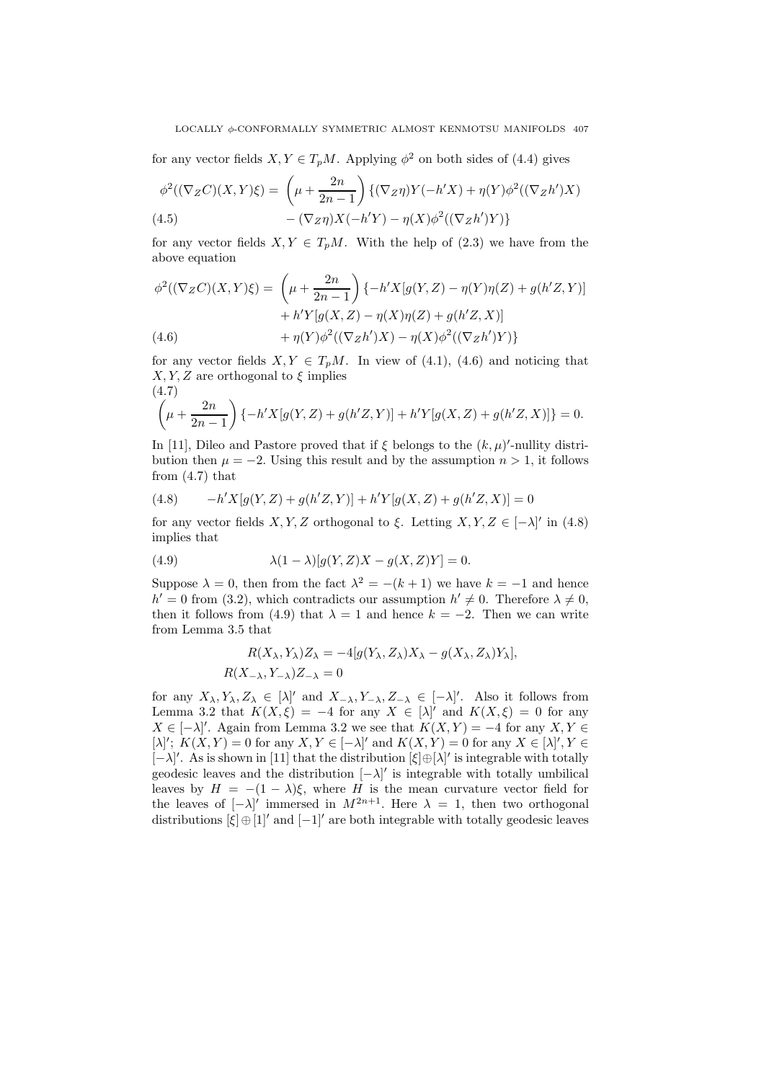for any vector fields  $X, Y \in T_pM$ . Applying  $\phi^2$  on both sides of (4.4) gives

$$
\phi^2((\nabla_Z C)(X,Y)\xi) = \left(\mu + \frac{2n}{2n-1}\right) \{(\nabla_Z \eta)Y(-h'X) + \eta(Y)\phi^2((\nabla_Z h')X) - (\nabla_Z \eta)X(-h'Y) - \eta(X)\phi^2((\nabla_Z h')Y)\}
$$
\n(4.5)

for any vector fields  $X, Y \in T_pM$ . With the help of (2.3) we have from the above equation

$$
\phi^2((\nabla_Z C)(X,Y)\xi) = \left(\mu + \frac{2n}{2n-1}\right) \{-h'X[g(Y,Z) - \eta(Y)\eta(Z) + g(h'Z,Y)]+ h'Y[g(X,Z) - \eta(X)\eta(Z) + g(h'Z,X)]+ \eta(Y)\phi^2((\nabla_Z h')X) - \eta(X)\phi^2((\nabla_Z h')Y)\}
$$

for any vector fields  $X, Y \in T_pM$ . In view of (4.1), (4.6) and noticing that  $X, Y, Z$  are orthogonal to  $\xi$  implies  $(4.7)$ 

$$
\left(\mu + \frac{2n}{2n-1}\right) \{-h'X[g(Y,Z) + g(h'Z,Y)] + h'Y[g(X,Z) + g(h'Z,X)]\} = 0.
$$

In [11], Dileo and Pastore proved that if  $\xi$  belongs to the  $(k, \mu)'$ -nullity distribution then  $\mu = -2$ . Using this result and by the assumption  $n > 1$ , it follows from  $(4.7)$  that

(4.8) 
$$
-h'X[g(Y,Z) + g(h'Z,Y)] + h'Y[g(X,Z) + g(h'Z,X)] = 0
$$

for any vector fields  $X, Y, Z$  orthogonal to  $\xi$ . Letting  $X, Y, Z \in [-\lambda]'$  in (4.8) implies that

(4.9) 
$$
\lambda(1-\lambda)[g(Y,Z)X - g(X,Z)Y] = 0.
$$

Suppose  $\lambda = 0$ , then from the fact  $\lambda^2 = -(k+1)$  we have  $k = -1$  and hence  $h' = 0$  from (3.2), which contradicts our assumption  $h' \neq 0$ . Therefore  $\lambda \neq 0$ , then it follows from (4.9) that  $\lambda = 1$  and hence  $k = -2$ . Then we can write from Lemma 3.5 that

$$
R(X_{\lambda}, Y_{\lambda})Z_{\lambda} = -4[g(Y_{\lambda}, Z_{\lambda})X_{\lambda} - g(X_{\lambda}, Z_{\lambda})Y_{\lambda}],
$$
  

$$
R(X_{-\lambda}, Y_{-\lambda})Z_{-\lambda} = 0
$$

for any  $X_{\lambda}, Y_{\lambda}, Z_{\lambda} \in [\lambda]'$  and  $X_{-\lambda}, Y_{-\lambda}, Z_{-\lambda} \in [-\lambda]'$ . Also it follows from Lemma 3.2 that  $K(X,\xi) = -4$  for any  $X \in [\lambda]'$  and  $K(X,\xi) = 0$  for any  $X \in [-\lambda]'$ . Again from Lemma 3.2 we see that  $K(X, Y) = -4$  for any  $X, Y \in$  $[\lambda]'$ ;  $K(X,Y) = 0$  for any  $X, Y \in [-\lambda]'$  and  $K(X,Y) = 0$  for any  $X \in [\lambda]'$ ,  $Y \in$ [-λ]'. As is shown in [11] that the distribution  $[ξ] ⊕[λ]$ ' is integrable with totally geodesic leaves and the distribution  $[-\lambda]'$  is integrable with totally umbilical leaves by  $H = -(1 - \lambda)\xi$ , where H is the mean curvature vector field for the leaves of  $[-\lambda]'$  immersed in  $M^{2n+1}$ . Here  $\lambda = 1$ , then two orthogonal distributions  $[\xi]\oplus[1]'$  and  $[-1]'$  are both integrable with totally geodesic leaves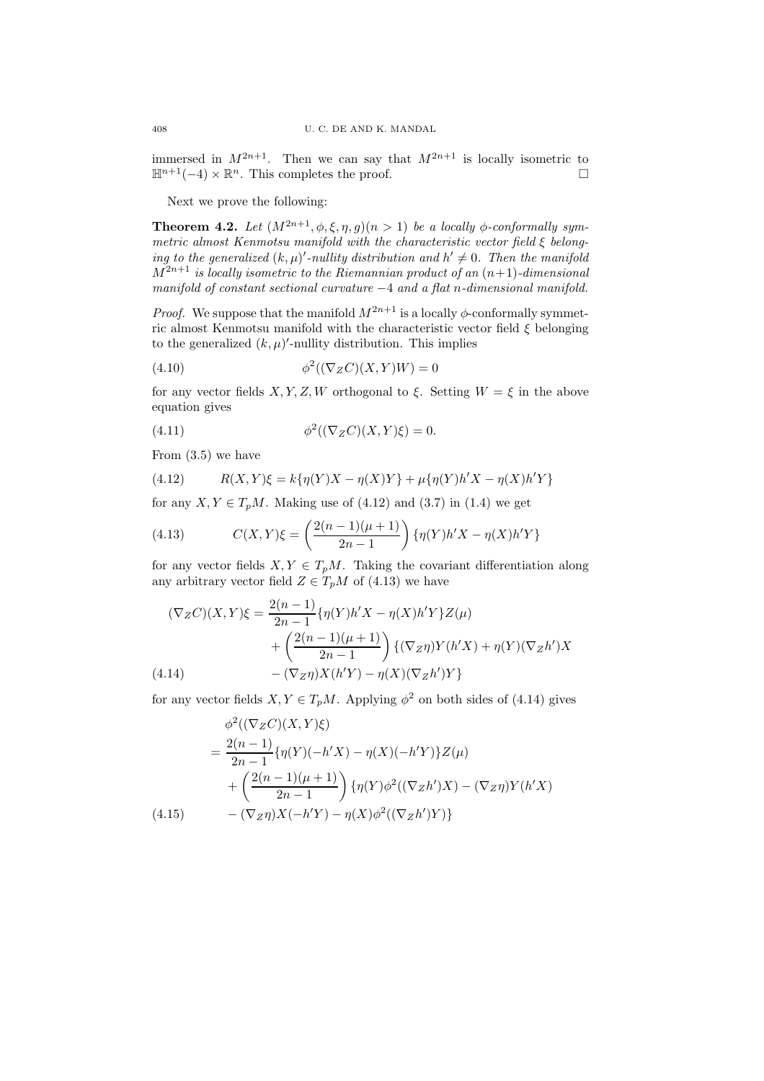immersed in  $M^{2n+1}$ . Then we can say that  $M^{2n+1}$  is locally isometric to  $\mathbb{H}^{n+1}(-4) \times \mathbb{R}^n$ . This completes the proof.  $\Box$ 

Next we prove the following:

**Theorem 4.2.** Let  $(M^{2n+1}, \phi, \xi, \eta, g)(n > 1)$  be a locally  $\phi$ -conformally symmetric almost Kenmotsu manifold with the characteristic vector field ξ belonging to the generalized  $(k, \mu)'$ -nullity distribution and  $h' \neq 0$ . Then the manifold  $M^{2n+1}$  is locally isometric to the Riemannian product of an  $(n+1)$ -dimensional manifold of constant sectional curvature  $-4$  and a flat n-dimensional manifold.

*Proof.* We suppose that the manifold  $M^{2n+1}$  is a locally  $\phi$ -conformally symmetric almost Kenmotsu manifold with the characteristic vector field  $\xi$  belonging to the generalized  $(k, \mu)'$ -nullity distribution. This implies

$$
(4.10)\qquad \qquad \phi^2((\nabla_Z C)(X,Y)W) = 0
$$

for any vector fields  $X, Y, Z, W$  orthogonal to  $\xi$ . Setting  $W = \xi$  in the above equation gives

(4.11) 
$$
\phi^2((\nabla_Z C)(X,Y)\xi) = 0.
$$

From (3.5) we have

(4.12) 
$$
R(X,Y)\xi = k\{\eta(Y)X - \eta(X)Y\} + \mu\{\eta(Y)h'X - \eta(X)h'Y\}
$$

for any  $X, Y \in T_pM$ . Making use of (4.12) and (3.7) in (1.4) we get

(4.13) 
$$
C(X,Y)\xi = \left(\frac{2(n-1)(\mu+1)}{2n-1}\right)\{\eta(Y)h'X - \eta(X)h'Y\}
$$

for any vector fields  $X, Y \in T_pM$ . Taking the covariant differentiation along any arbitrary vector field  $Z \in T_pM$  of (4.13) we have

$$
(\nabla_Z C)(X,Y)\xi = \frac{2(n-1)}{2n-1} \{\eta(Y)h'X - \eta(X)h'Y\}Z(\mu) + \left(\frac{2(n-1)(\mu+1)}{2n-1}\right) \{(\nabla_Z \eta)Y(h'X) + \eta(Y)(\nabla_Z h')X - (\nabla_Z \eta)X(h'Y) - \eta(X)(\nabla_Z h')Y\}
$$

for any vector fields  $X, Y \in T_pM$ . Applying  $\phi^2$  on both sides of (4.14) gives

$$
\phi^2((\nabla_Z C)(X, Y)\xi)
$$
\n
$$
= \frac{2(n-1)}{2n-1} \{\eta(Y)(-h'X) - \eta(X)(-h'Y)\} Z(\mu)
$$
\n
$$
+ \left(\frac{2(n-1)(\mu+1)}{2n-1}\right) \{\eta(Y)\phi^2((\nabla_Z h')X) - (\nabla_Z \eta)Y(h'X)
$$
\n(4.15)\n
$$
- (\nabla_Z \eta)X(-h'Y) - \eta(X)\phi^2((\nabla_Z h')Y)\}
$$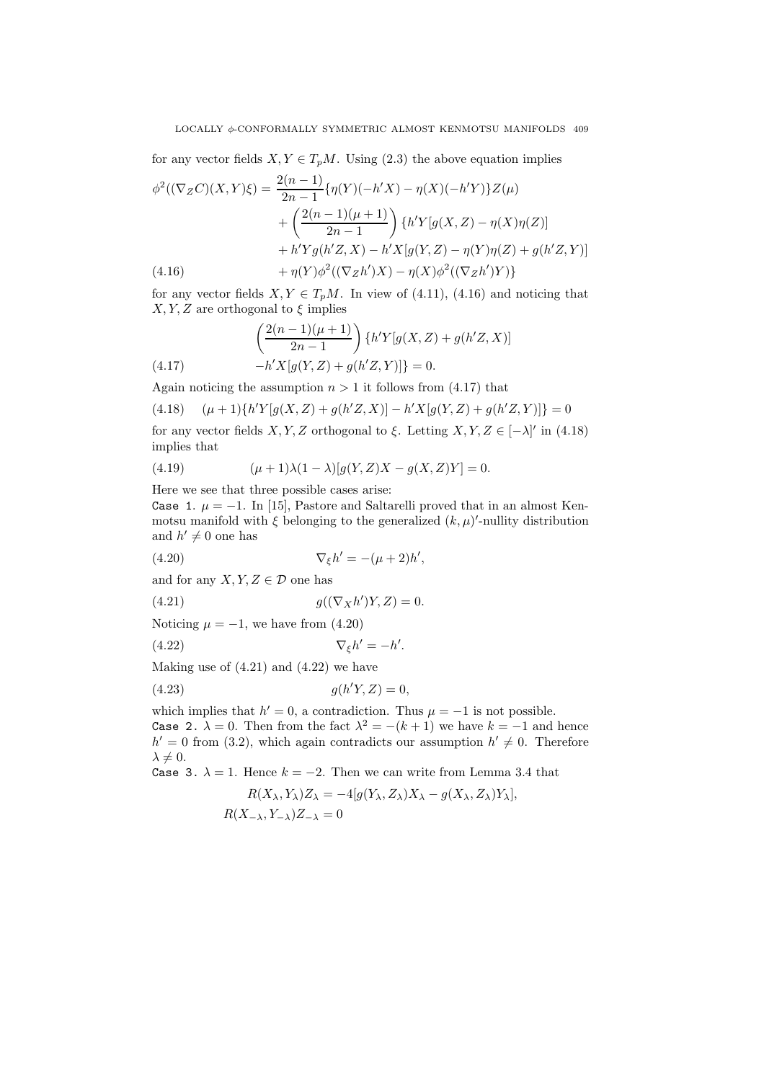for any vector fields  $X, Y \in T_pM$ . Using (2.3) the above equation implies

$$
\phi^2((\nabla_Z C)(X,Y)\xi) = \frac{2(n-1)}{2n-1} \{\eta(Y)(-h'X) - \eta(X)(-h'Y)\} Z(\mu)
$$
  
+ 
$$
\left(\frac{2(n-1)(\mu+1)}{2n-1}\right) \{h'Y[g(X,Z) - \eta(X)\eta(Z)]
$$
  
+ 
$$
h'Yg(h'Z,X) - h'X[g(Y,Z) - \eta(Y)\eta(Z) + g(h'Z,Y)]
$$
  
(4.16) 
$$
+ \eta(Y)\phi^2((\nabla_Z h')X) - \eta(X)\phi^2((\nabla_Z h')Y)\}
$$

for any vector fields  $X, Y \in T_pM$ . In view of (4.11), (4.16) and noticing that  $X, Y, Z$  are orthogonal to  $\xi$  implies

(4.17) 
$$
\left(\frac{2(n-1)(\mu+1)}{2n-1}\right) \{h'Y[g(X,Z) + g(h'Z,X)] -h'X[g(Y,Z) + g(h'Z,Y)]\} = 0.
$$

Again noticing the assumption  $n > 1$  it follows from (4.17) that

$$
(4.18) \quad (\mu+1)\{h'Y[g(X,Z)+g(h'Z,X)]-h'X[g(Y,Z)+g(h'Z,Y)]\}=0
$$

for any vector fields  $X, Y, Z$  orthogonal to  $\xi$ . Letting  $X, Y, Z \in [-\lambda]'$  in (4.18) implies that

(4.19) 
$$
(\mu + 1)\lambda(1 - \lambda)[g(Y, Z)X - g(X, Z)Y] = 0.
$$

Here we see that three possible cases arise:

Case 1.  $\mu = -1$ . In [15], Pastore and Saltarelli proved that in an almost Kenmotsu manifold with  $\xi$  belonging to the generalized  $(k, \mu)'$ -nullity distribution and  $h' \neq 0$  one has

(4.20) 
$$
\nabla_{\xi}h' = -(\mu + 2)h',
$$

and for any  $X, Y, Z \in \mathcal{D}$  one has

$$
(4.21) \t\t g((\nabla_X h')Y, Z) = 0.
$$

Noticing  $\mu = -1$ , we have from (4.20)

$$
\nabla_{\xi}h' = -h'.
$$

Making use of 
$$
(4.21)
$$
 and  $(4.22)$  we have

$$
(4.23) \t\t g(h'Y, Z) = 0,
$$

which implies that  $h' = 0$ , a contradiction. Thus  $\mu = -1$  is not possible. Case 2.  $\lambda = 0$ . Then from the fact  $\lambda^2 = -(k+1)$  we have  $k = -1$  and hence  $h' = 0$  from (3.2), which again contradicts our assumption  $h' \neq 0$ . Therefore  $\lambda \neq 0.$ 

Case 3.  $\lambda = 1$ . Hence  $k = -2$ . Then we can write from Lemma 3.4 that

$$
R(X_{\lambda}, Y_{\lambda})Z_{\lambda} = -4[g(Y_{\lambda}, Z_{\lambda})X_{\lambda} - g(X_{\lambda}, Z_{\lambda})Y_{\lambda}],
$$
  

$$
R(X_{-\lambda}, Y_{-\lambda})Z_{-\lambda} = 0
$$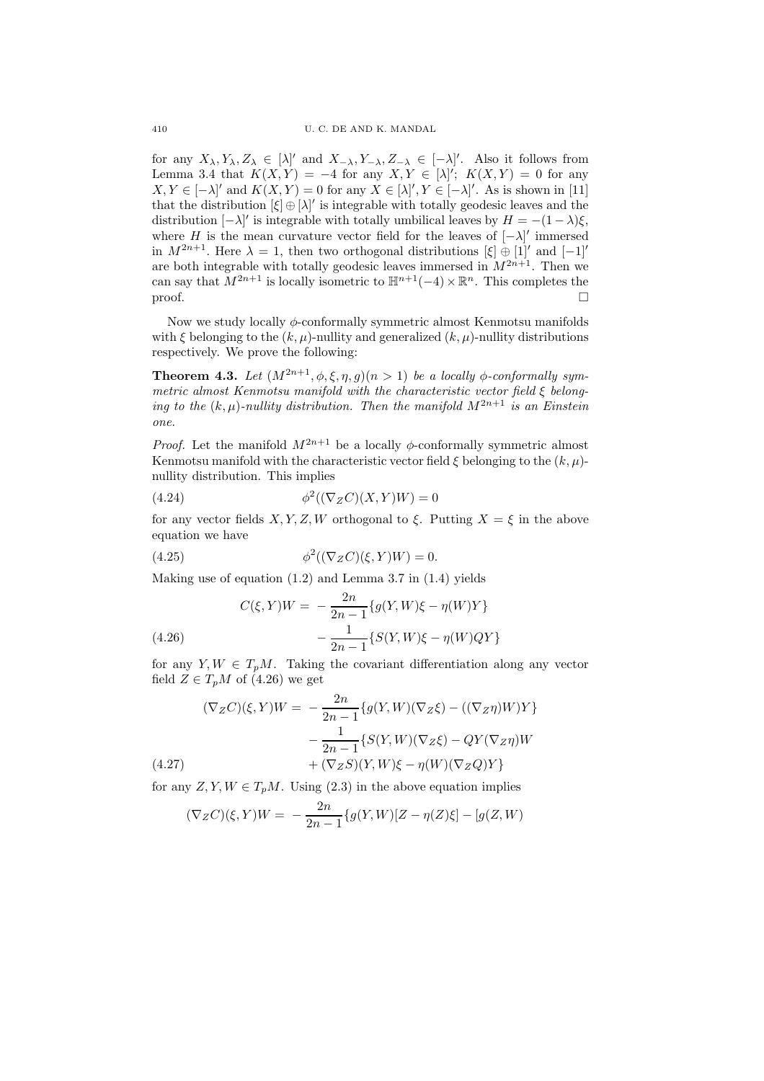for any  $X_{\lambda}, Y_{\lambda}, Z_{\lambda} \in [\lambda]'$  and  $X_{-\lambda}, Y_{-\lambda}, Z_{-\lambda} \in [-\lambda]'$ . Also it follows from Lemma 3.4 that  $K(X,Y) = -4$  for any  $X,Y \in [\lambda]'$ ;  $K(X,Y) = 0$  for any  $X, Y \in [-\lambda]'$  and  $K(X, Y) = 0$  for any  $X \in [\lambda]'$ ,  $Y \in [-\lambda]'$ . As is shown in [11] that the distribution  $[\xi] \oplus [\lambda]'$  is integrable with totally geodesic leaves and the distribution  $[-\lambda]'$  is integrable with totally umbilical leaves by  $H = -(1 - \lambda)\xi$ , where H is the mean curvature vector field for the leaves of  $[-\lambda]'$  immersed in  $M^{2n+1}$ . Here  $\lambda = 1$ , then two orthogonal distributions  $[\xi] \oplus [1]'$  and  $[-1]'$ are both integrable with totally geodesic leaves immersed in  $M^{2n+1}$ . Then we can say that  $M^{2n+1}$  is locally isometric to  $\mathbb{H}^{n+1}(-4) \times \mathbb{R}^n$ . This completes the  $\Box$ 

Now we study locally  $\phi$ -conformally symmetric almost Kenmotsu manifolds with  $\xi$  belonging to the  $(k, \mu)$ -nullity and generalized  $(k, \mu)$ -nullity distributions respectively. We prove the following:

**Theorem 4.3.** Let  $(M^{2n+1}, \phi, \xi, \eta, g)(n > 1)$  be a locally  $\phi$ -conformally symmetric almost Kenmotsu manifold with the characteristic vector field ξ belonging to the  $(k, \mu)$ -nullity distribution. Then the manifold  $M^{2n+1}$  is an Einstein one.

*Proof.* Let the manifold  $M^{2n+1}$  be a locally  $\phi$ -conformally symmetric almost Kenmotsu manifold with the characteristic vector field  $\xi$  belonging to the  $(k, \mu)$ nullity distribution. This implies

$$
(4.24) \qquad \qquad \phi^2((\nabla_Z C)(X,Y)W) = 0
$$

for any vector fields  $X, Y, Z, W$  orthogonal to  $\xi$ . Putting  $X = \xi$  in the above equation we have

(4.25) 
$$
\phi^2((\nabla_Z C)(\xi, Y)W) = 0.
$$

Making use of equation (1.2) and Lemma 3.7 in (1.4) yields

(4.26) 
$$
C(\xi, Y)W = -\frac{2n}{2n-1} \{g(Y, W)\xi - \eta(W)Y\}
$$

$$
-\frac{1}{2n-1} \{S(Y, W)\xi - \eta(W)QY\}
$$

for any  $Y, W \in T_pM$ . Taking the covariant differentiation along any vector field  $Z \in T_pM$  of (4.26) we get

$$
(\nabla_Z C)(\xi, Y)W = -\frac{2n}{2n-1} \{g(Y, W)(\nabla_Z \xi) - ((\nabla_Z \eta)W)Y\}
$$

$$
-\frac{1}{2n-1} \{S(Y, W)(\nabla_Z \xi) - QY(\nabla_Z \eta)W
$$

$$
(4.27)
$$

$$
+(\nabla_Z S)(Y, W)\xi - \eta(W)(\nabla_Z Q)Y\}
$$

for any  $Z, Y, W \in T_pM$ . Using (2.3) in the above equation implies

$$
(\nabla_Z C)(\xi, Y)W = -\frac{2n}{2n-1} \{g(Y, W)[Z - \eta(Z)\xi] - [g(Z, W)]\}
$$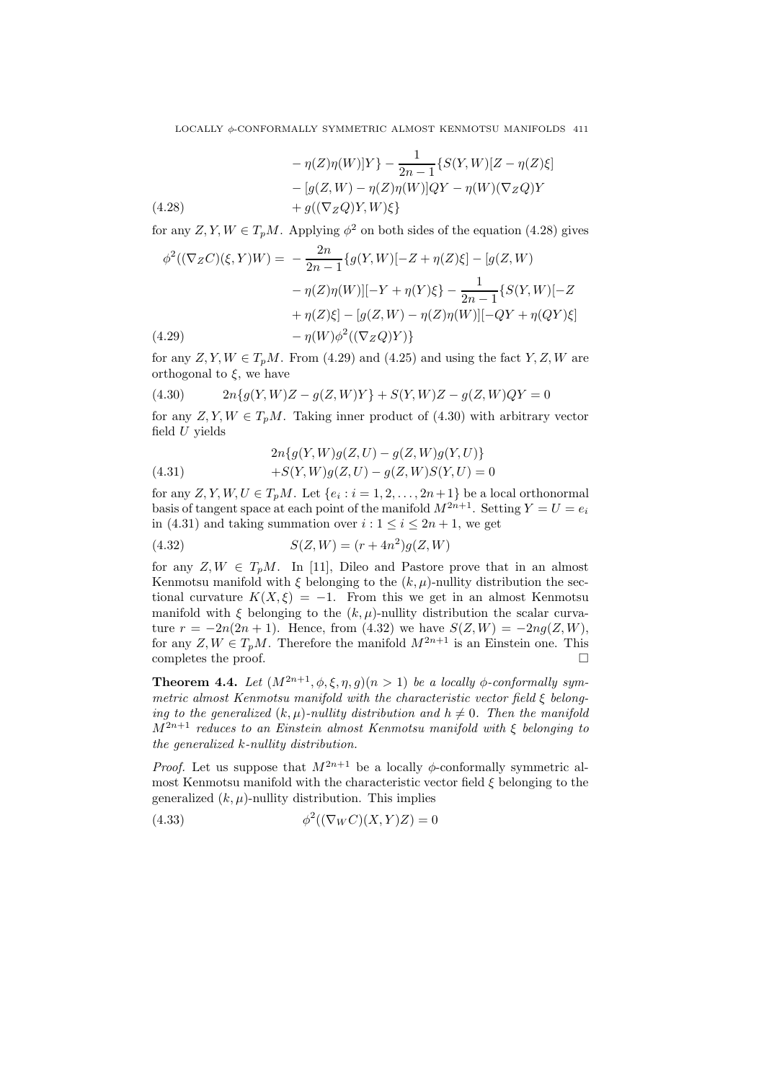$$
- \eta(Z)\eta(W)|Y\rangle - \frac{1}{2n-1} \{S(Y,W)[Z - \eta(Z)\xi] \\
- [g(Z,W) - \eta(Z)\eta(W)]QY - \eta(W)(\nabla_Z Q)Y \\
+ g((\nabla_Z Q)Y,W)\xi\}
$$
\n(4.28)

for any  $Z, Y, W \in T_pM$ . Applying  $\phi^2$  on both sides of the equation (4.28) gives

$$
\phi^2((\nabla_Z C)(\xi, Y)W) = -\frac{2n}{2n-1} \{g(Y, W) [-Z + \eta(Z)\xi] - [g(Z, W) - \eta(Z)\eta(W)] [-Y + \eta(Y)\xi\} - \frac{1}{2n-1} \{S(Y, W) [-Z + \eta(Z)\xi] - [g(Z, W) - \eta(Z)\eta(W)] [-QY + \eta(QY)\xi] - \eta(W)\phi^2((\nabla_Z Q)Y)\}
$$
\n(4.29)

for any  $Z, Y, W \in T_pM$ . From (4.29) and (4.25) and using the fact  $Y, Z, W$  are orthogonal to  $\xi$ , we have

$$
(4.30) \t2n{g(Y,W)Z - g(Z,W)Y} + S(Y,W)Z - g(Z,W)QY = 0
$$

for any  $Z, Y, W \in T_pM$ . Taking inner product of (4.30) with arbitrary vector field  $U$  yields

(4.31) 
$$
2n\{g(Y,W)g(Z,U) - g(Z,W)g(Y,U)\} + S(Y,W)g(Z,U) - g(Z,W)S(Y,U) = 0
$$

for any  $Z, Y, W, U \in T_pM$ . Let  $\{e_i : i = 1, 2, \ldots, 2n+1\}$  be a local orthonormal basis of tangent space at each point of the manifold  $M^{2n+1}$ . Setting  $Y = U = e_i$ in (4.31) and taking summation over  $i: 1 \leq i \leq 2n + 1$ , we get

(4.32) 
$$
S(Z, W) = (r + 4n^2)g(Z, W)
$$

for any  $Z, W \in T_pM$ . In [11], Dileo and Pastore prove that in an almost Kenmotsu manifold with  $\xi$  belonging to the  $(k, \mu)$ -nullity distribution the sectional curvature  $K(X, \xi) = -1$ . From this we get in an almost Kenmotsu manifold with  $\xi$  belonging to the  $(k, \mu)$ -nullity distribution the scalar curvature  $r = -2n(2n+1)$ . Hence, from (4.32) we have  $S(Z, W) = -2nq(Z, W)$ , for any  $Z, W \in T_pM$ . Therefore the manifold  $M^{2n+1}$  is an Einstein one. This completes the proof.  $\Box$ 

**Theorem 4.4.** Let  $(M^{2n+1}, \phi, \xi, \eta, q)(n > 1)$  be a locally  $\phi$ -conformally symmetric almost Kenmotsu manifold with the characteristic vector field ξ belonging to the generalized  $(k, u)$ -nullity distribution and  $h \neq 0$ . Then the manifold  $M^{2n+1}$  reduces to an Einstein almost Kenmotsu manifold with ξ belonging to the generalized k-nullity distribution.

*Proof.* Let us suppose that  $M^{2n+1}$  be a locally  $\phi$ -conformally symmetric almost Kenmotsu manifold with the characteristic vector field  $\xi$  belonging to the generalized  $(k, \mu)$ -nullity distribution. This implies

(4.33) 
$$
\phi^2((\nabla_W C)(X,Y)Z) = 0
$$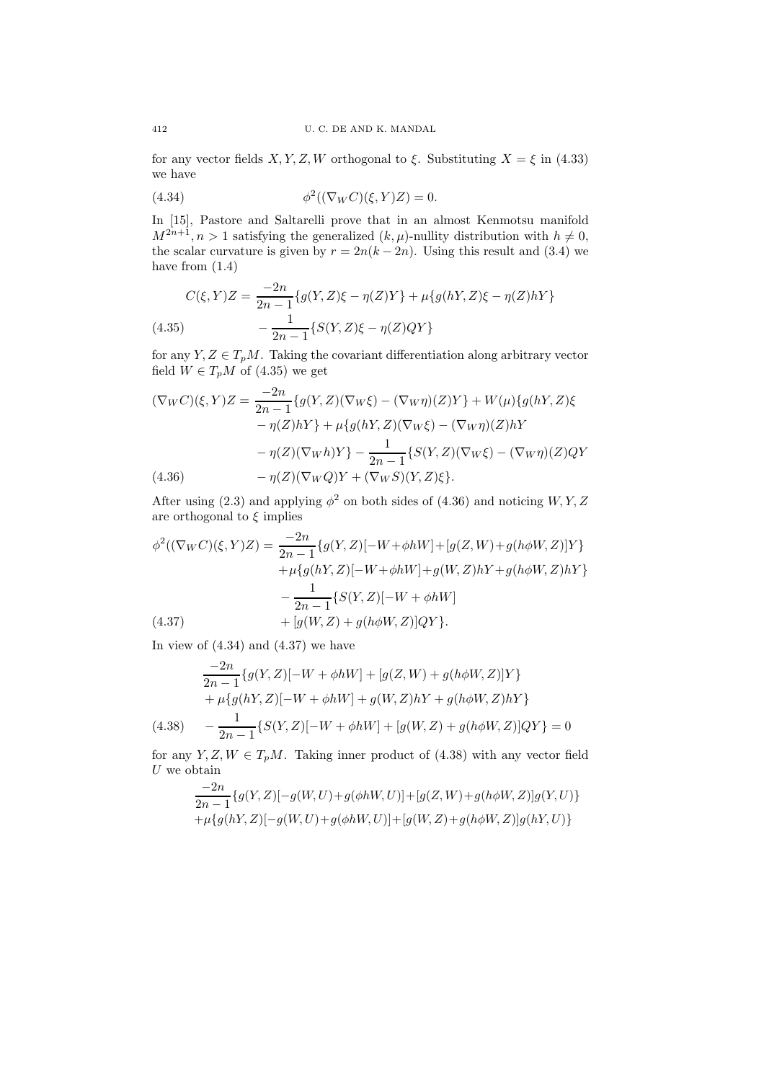for any vector fields  $X, Y, Z, W$  orthogonal to ξ. Substituting  $X = \xi$  in (4.33) we have

(4.34) 
$$
\phi^2((\nabla_W C)(\xi, Y)Z) = 0.
$$

In [15], Pastore and Saltarelli prove that in an almost Kenmotsu manifold  $M^{2n+1}, n > 1$  satisfying the generalized  $(k, \mu)$ -nullity distribution with  $h \neq 0$ , the scalar curvature is given by  $r = 2n(k-2n)$ . Using this result and (3.4) we have from (1.4)

(4.35) 
$$
C(\xi, Y)Z = \frac{-2n}{2n-1} \{g(Y, Z)\xi - \eta(Z)Y\} + \mu \{g(hY, Z)\xi - \eta(Z)hY\}
$$

$$
-\frac{1}{2n-1} \{S(Y, Z)\xi - \eta(Z)QY\}
$$

for any  $Y, Z \in T_pM$ . Taking the covariant differentiation along arbitrary vector field  $W \in T_pM$  of (4.35) we get

$$
(\nabla_{W}C)(\xi, Y)Z = \frac{-2n}{2n-1} \{g(Y, Z)(\nabla_{W}\xi) - (\nabla_{W}\eta)(Z)Y\} + W(\mu)\{g(hY, Z)\xi - \eta(Z)hY\} + \mu\{g(hY, Z)(\nabla_{W}\xi) - (\nabla_{W}\eta)(Z)hY - \eta(Z)(\nabla_{W}h)Y\} - \frac{1}{2n-1} \{S(Y, Z)(\nabla_{W}\xi) - (\nabla_{W}\eta)(Z)QY - \eta(Z)(\nabla_{W}Q)Y + (\nabla_{W}S)(Y, Z)\xi\}.
$$

After using (2.3) and applying  $\phi^2$  on both sides of (4.36) and noticing  $W, Y, Z$ are orthogonal to  $\xi$  implies

$$
\phi^2((\nabla_W C)(\xi, Y)Z) = \frac{-2n}{2n - 1} \{g(Y, Z)[-W + \phi hW] + [g(Z, W) + g(h\phi W, Z)]Y\} \n+ \mu \{g(hY, Z)[-W + \phi hW] + g(W, Z)hY + g(h\phi W, Z)hY\} \n- \frac{1}{2n - 1} \{S(Y, Z)[-W + \phi hW] \n+ [g(W, Z) + g(h\phi W, Z)]QY\}.
$$

In view of  $(4.34)$  and  $(4.37)$  we have

$$
\frac{-2n}{2n-1}\{g(Y,Z)[-W+\phi hW] + [g(Z,W) + g(h\phi W,Z)]Y\} + \mu\{g(hY,Z)[-W+\phi hW] + g(W,Z)hY + g(h\phi W,Z)hY\}
$$

(4.38) 
$$
-\frac{1}{2n-1}\left\{S(Y,Z)[-W+\phi hW]+[g(W,Z)+g(h\phi W,Z)]QY\right\}=0
$$

for any  $Y, Z, W \in T_pM$ . Taking inner product of (4.38) with any vector field  $U$  we obtain −2n

$$
\frac{-2n}{2n-1}\{g(Y,Z)[-g(W,U)+g(\phi hW,U)]+[g(Z,W)+g(h\phi W,Z)]g(Y,U)\}\n+\mu\{g(hY,Z)[-g(W,U)+g(\phi hW,U)]+[g(W,Z)+g(h\phi W,Z)]g(hY,U)\}
$$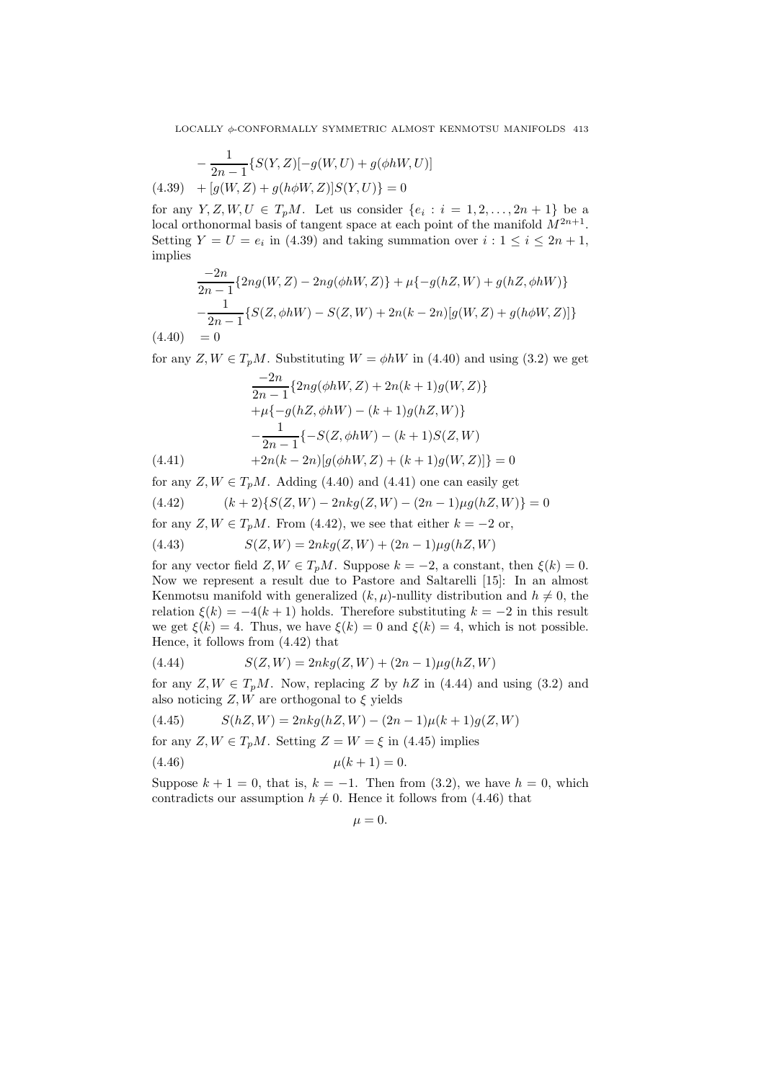$$
-\frac{1}{2n-1}\{S(Y,Z)[-g(W,U) + g(\phi hW,U)]
$$
  
(4.39) + [g(W,Z) + g(h\phi W,Z)]S(Y,U)\} = 0

for any  $Y, Z, W, U \in T_pM$ . Let us consider  $\{e_i : i = 1, 2, ..., 2n + 1\}$  be a local orthonormal basis of tangent space at each point of the manifold  $M^{2n+1}$ . Setting  $Y = U = e_i$  in (4.39) and taking summation over  $i: 1 \leq i \leq 2n + 1$ , implies

$$
\frac{-2n}{2n-1} \{ 2ng(W, Z) - 2ng(\phi hW, Z) \} + \mu \{ -g(hZ, W) + g(hZ, \phi hW) \}
$$

$$
-\frac{1}{2n-1} \{ S(Z, \phi hW) - S(Z, W) + 2n(k-2n)[g(W, Z) + g(h\phi W, Z)] \}
$$

 $(4.40) = 0$ 

for any  $Z, W \in T_nM$ . Substituting  $W = \phi hW$  in (4.40) and using (3.2) we get

$$
\frac{-2n}{2n-1} \{ 2ng(\phi hW, Z) + 2n(k+1)g(W, Z) \} \n+ \mu \{ -g(hZ, \phi hW) - (k+1)g(hZ, W) \} \n- \frac{1}{2n-1} \{ -S(Z, \phi hW) - (k+1)S(Z, W) \n+ 2n(k-2n)[g(\phi hW, Z) + (k+1)g(W, Z)] \} = 0
$$

for any  $Z, W \in T_pM$ . Adding (4.40) and (4.41) one can easily get

$$
(4.42) \qquad (k+2)\{S(Z,W) - 2nkg(Z,W) - (2n-1)\mu g(hZ,W)\} = 0
$$

for any  $Z, W \in T_pM$ . From (4.42), we see that either  $k = -2$  or,

(4.43) 
$$
S(Z, W) = 2nkg(Z, W) + (2n - 1)\mu g(hZ, W)
$$

for any vector field  $Z, W \in T_pM$ . Suppose  $k = -2$ , a constant, then  $\xi(k) = 0$ . Now we represent a result due to Pastore and Saltarelli [15]: In an almost Kenmotsu manifold with generalized  $(k, \mu)$ -nullity distribution and  $h \neq 0$ , the relation  $\xi(k) = -4(k+1)$  holds. Therefore substituting  $k = -2$  in this result we get  $\xi(k) = 4$ . Thus, we have  $\xi(k) = 0$  and  $\xi(k) = 4$ , which is not possible. Hence, it follows from (4.42) that

(4.44) 
$$
S(Z, W) = 2nkg(Z, W) + (2n - 1)\mu g(hZ, W)
$$

for any  $Z, W \in T_pM$ . Now, replacing Z by  $hZ$  in (4.44) and using (3.2) and also noticing  $Z, W$  are orthogonal to  $\xi$  yields

$$
(4.45) \qquad S(hZ,W) = 2nkg(hZ,W) - (2n-1)\mu(k+1)g(Z,W)
$$

for any 
$$
Z, W \in T_p M
$$
. Setting  $Z = W = \xi$  in (4.45) implies

$$
(4.46) \t\t \mu(k+1) = 0.
$$

Suppose  $k + 1 = 0$ , that is,  $k = -1$ . Then from (3.2), we have  $h = 0$ , which contradicts our assumption  $h \neq 0$ . Hence it follows from (4.46) that

$$
\mu=0.
$$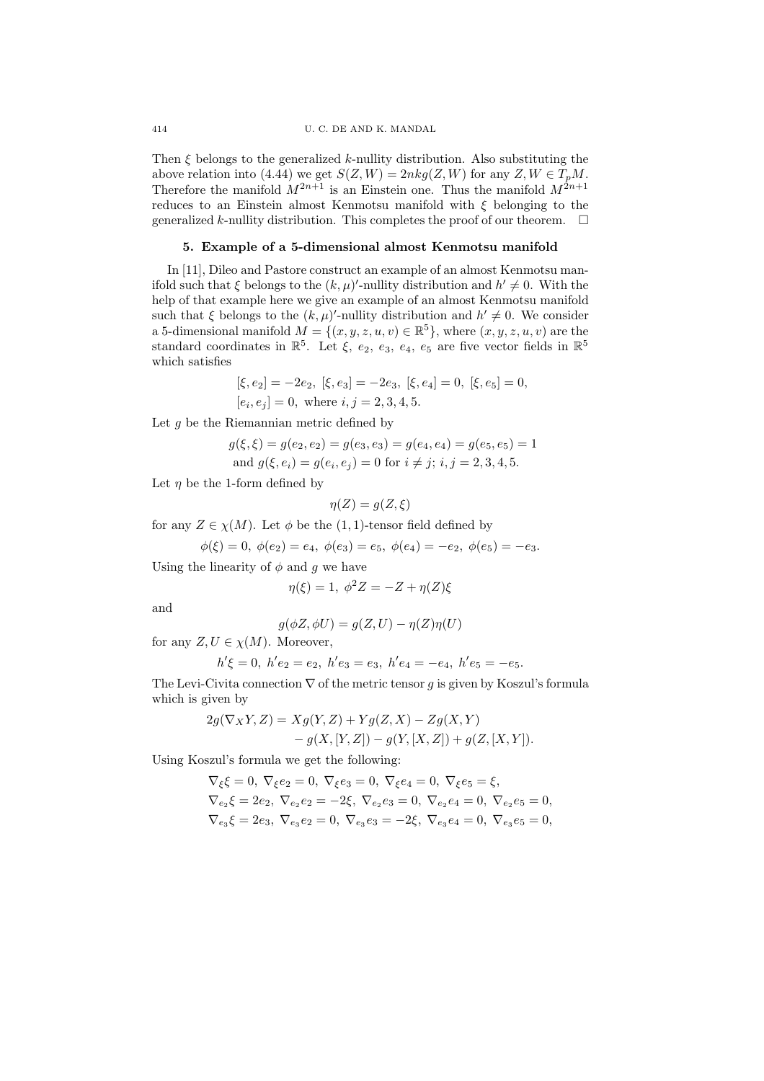Then  $\xi$  belongs to the generalized k-nullity distribution. Also substituting the above relation into (4.44) we get  $S(Z, W) = 2nkg(Z, W)$  for any  $Z, W \in T_pM$ . Therefore the manifold  $M^{2n+1}$  is an Einstein one. Thus the manifold  $M^{2n+1}$ reduces to an Einstein almost Kenmotsu manifold with  $\xi$  belonging to the generalized k-nullity distribution. This completes the proof of our theorem.  $\Box$ 

### 5. Example of a 5-dimensional almost Kenmotsu manifold

In [11], Dileo and Pastore construct an example of an almost Kenmotsu manifold such that  $\xi$  belongs to the  $(k, \mu)'$ -nullity distribution and  $h' \neq 0$ . With the help of that example here we give an example of an almost Kenmotsu manifold such that  $\xi$  belongs to the  $(k, \mu)'$ -nullity distribution and  $h' \neq 0$ . We consider a 5-dimensional manifold  $M = \{(x, y, z, u, v) \in \mathbb{R}^5\}$ , where  $(x, y, z, u, v)$  are the standard coordinates in  $\mathbb{R}^5$ . Let  $\xi$ ,  $e_2$ ,  $e_3$ ,  $e_4$ ,  $e_5$  are five vector fields in  $\mathbb{R}^5$ which satisfies

$$
\begin{split} [\xi,e_2]=-2e_2,\; [\xi,e_3]=-2e_3,\; [\xi,e_4]=0,\; [\xi,e_5]=0,\\ [e_i,e_j]=0,\; \text{where}\; i,j=2,3,4,5. \end{split}
$$

Let  $q$  be the Riemannian metric defined by

$$
g(\xi, \xi) = g(e_2, e_2) = g(e_3, e_3) = g(e_4, e_4) = g(e_5, e_5) = 1
$$
  
and  $g(\xi, e_i) = g(e_i, e_j) = 0$  for  $i \neq j$ ;  $i, j = 2, 3, 4, 5$ .

Let  $\eta$  be the 1-form defined by

$$
\eta(Z) = g(Z, \xi)
$$

for any  $Z \in \chi(M)$ . Let  $\phi$  be the (1, 1)-tensor field defined by

$$
\phi(\xi) = 0, \ \phi(e_2) = e_4, \ \phi(e_3) = e_5, \ \phi(e_4) = -e_2, \ \phi(e_5) = -e_3.
$$

Using the linearity of  $\phi$  and g we have

$$
\eta(\xi) = 1, \ \phi^2 Z = -Z + \eta(Z)\xi
$$

and

$$
g(\phi Z, \phi U) = g(Z, U) - \eta(Z)\eta(U)
$$

for any  $Z, U \in \chi(M)$ . Moreover,

$$
h'\xi = 0
$$
,  $h'e_2 = e_2$ ,  $h'e_3 = e_3$ ,  $h'e_4 = -e_4$ ,  $h'e_5 = -e_5$ .

The Levi-Civita connection  $\nabla$  of the metric tensor q is given by Koszul's formula which is given by

$$
2g(\nabla_X Y, Z) = Xg(Y, Z) + Yg(Z, X) - Zg(X, Y) - g(X, [Y, Z]) - g(Y, [X, Z]) + g(Z, [X, Y]).
$$

Using Koszul's formula we get the following:

$$
\begin{aligned} \nabla_{\xi}\xi &= 0, \ \nabla_{\xi}e_2 = 0, \ \nabla_{\xi}e_3 = 0, \ \nabla_{\xi}e_4 = 0, \ \nabla_{\xi}e_5 = \xi, \\ \nabla_{e_2}\xi &= 2e_2, \ \nabla_{e_2}e_2 = -2\xi, \ \nabla_{e_2}e_3 = 0, \ \nabla_{e_2}e_4 = 0, \ \nabla_{e_2}e_5 = 0, \\ \nabla_{e_3}\xi &= 2e_3, \ \nabla_{e_3}e_2 = 0, \ \nabla_{e_3}e_3 = -2\xi, \ \nabla_{e_3}e_4 = 0, \ \nabla_{e_3}e_5 = 0, \end{aligned}
$$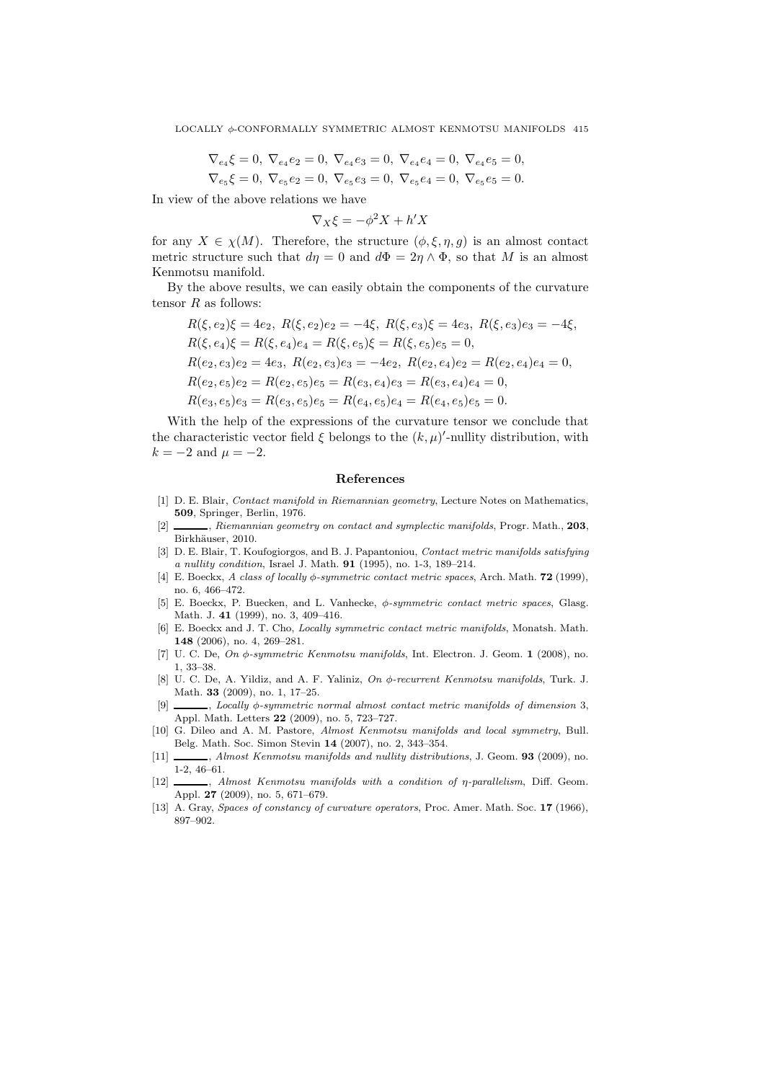$$
\nabla_{e_4}\xi = 0, \ \nabla_{e_4}e_2 = 0, \ \nabla_{e_4}e_3 = 0, \ \nabla_{e_4}e_4 = 0, \ \nabla_{e_4}e_5 = 0,
$$
  

$$
\nabla_{e_5}\xi = 0, \ \nabla_{e_5}e_2 = 0, \ \nabla_{e_5}e_3 = 0, \ \nabla_{e_5}e_4 = 0, \ \nabla_{e_5}e_5 = 0.
$$

In view of the above relations we have

$$
\nabla_X \xi = -\phi^2 X + h'X
$$

for any  $X \in \chi(M)$ . Therefore, the structure  $(\phi, \xi, \eta, g)$  is an almost contact metric structure such that  $d\eta = 0$  and  $d\Phi = 2\eta \wedge \Phi$ , so that M is an almost Kenmotsu manifold.

By the above results, we can easily obtain the components of the curvature tensor  $R$  as follows:

$$
R(\xi, e_2)\xi = 4e_2, R(\xi, e_2)e_2 = -4\xi, R(\xi, e_3)\xi = 4e_3, R(\xi, e_3)e_3 = -4\xi,
$$
  
\n
$$
R(\xi, e_4)\xi = R(\xi, e_4)e_4 = R(\xi, e_5)\xi = R(\xi, e_5)e_5 = 0,
$$
  
\n
$$
R(e_2, e_3)e_2 = 4e_3, R(e_2, e_3)e_3 = -4e_2, R(e_2, e_4)e_2 = R(e_2, e_4)e_4 = 0,
$$
  
\n
$$
R(e_2, e_5)e_2 = R(e_2, e_5)e_5 = R(e_3, e_4)e_3 = R(e_3, e_4)e_4 = 0,
$$
  
\n
$$
R(e_3, e_5)e_3 = R(e_3, e_5)e_5 = R(e_4, e_5)e_4 = R(e_4, e_5)e_5 = 0.
$$

With the help of the expressions of the curvature tensor we conclude that the characteristic vector field  $\xi$  belongs to the  $(k, \mu)'$ -nullity distribution, with  $k = -2$  and  $\mu = -2$ .

#### References

- [1] D. E. Blair, Contact manifold in Riemannian geometry, Lecture Notes on Mathematics, 509, Springer, Berlin, 1976.
- [2] , Riemannian geometry on contact and symplectic manifolds, Progr. Math., 203, Birkhäuser, 2010.
- [3] D. E. Blair, T. Koufogiorgos, and B. J. Papantoniou, Contact metric manifolds satisfying a nullity condition, Israel J. Math. 91 (1995), no. 1-3, 189–214.
- [4] E. Boeckx, A class of locally  $\phi$ -symmetric contact metric spaces, Arch. Math. **72** (1999), no. 6, 466–472.
- [5] E. Boeckx, P. Buecken, and L. Vanhecke, φ-symmetric contact metric spaces, Glasg. Math. J. 41 (1999), no. 3, 409–416.
- [6] E. Boeckx and J. T. Cho, Locally symmetric contact metric manifolds, Monatsh. Math. 148 (2006), no. 4, 269–281.
- [7] U. C. De,  $On \phi$ -symmetric Kenmotsu manifolds, Int. Electron. J. Geom. 1 (2008), no. 1, 33–38.
- [8] U. C. De, A. Yildiz, and A. F. Yaliniz, On φ-recurrent Kenmotsu manifolds, Turk. J. Math. 33 (2009), no. 1, 17–25.
- $[9]$  , Locally  $\phi$ -symmetric normal almost contact metric manifolds of dimension 3, Appl. Math. Letters 22 (2009), no. 5, 723–727.
- [10] G. Dileo and A. M. Pastore, Almost Kenmotsu manifolds and local symmetry, Bull. Belg. Math. Soc. Simon Stevin 14 (2007), no. 2, 343–354.
- [11]  $\_\_\_\_\$  Almost Kenmotsu manifolds and nullity distributions, J. Geom. 93 (2009), no. 1-2, 46–61.
- [12] , Almost Kenmotsu manifolds with a condition of η-parallelism, Diff. Geom. Appl. 27 (2009), no. 5, 671–679.
- [13] A. Gray, Spaces of constancy of curvature operators, Proc. Amer. Math. Soc. 17 (1966), 897–902.